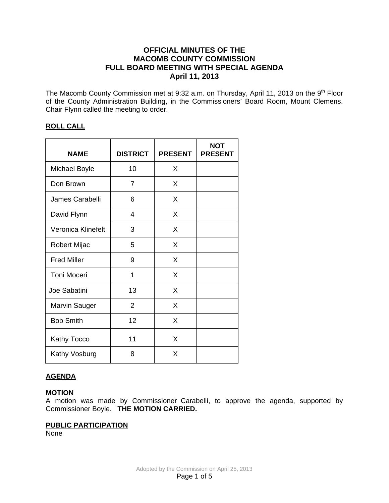# **OFFICIAL MINUTES OF THE MACOMB COUNTY COMMISSION FULL BOARD MEETING WITH SPECIAL AGENDA April 11, 2013**

The Macomb County Commission met at 9:32 a.m. on Thursday, April 11, 2013 on the 9<sup>th</sup> Floor of the County Administration Building, in the Commissioners' Board Room, Mount Clemens. Chair Flynn called the meeting to order.

# **ROLL CALL**

| <b>NAME</b>          | <b>DISTRICT</b> | <b>PRESENT</b> | <b>NOT</b><br><b>PRESENT</b> |
|----------------------|-----------------|----------------|------------------------------|
| <b>Michael Boyle</b> | 10              | X              |                              |
| Don Brown            | $\overline{7}$  | X              |                              |
| James Carabelli      | 6               | X              |                              |
| David Flynn          | 4               | X              |                              |
| Veronica Klinefelt   | 3               | X              |                              |
| Robert Mijac         | 5               | X              |                              |
| <b>Fred Miller</b>   | 9               | X              |                              |
| <b>Toni Moceri</b>   | 1               | X              |                              |
| Joe Sabatini         | 13              | X              |                              |
| <b>Marvin Sauger</b> | $\overline{2}$  | X              |                              |
| <b>Bob Smith</b>     | 12              | X              |                              |
| Kathy Tocco          | 11              | X              |                              |
| Kathy Vosburg        | 8               | X              |                              |

# **AGENDA**

# **MOTION**

A motion was made by Commissioner Carabelli, to approve the agenda, supported by Commissioner Boyle. **THE MOTION CARRIED.** 

# **PUBLIC PARTICIPATION**

**None**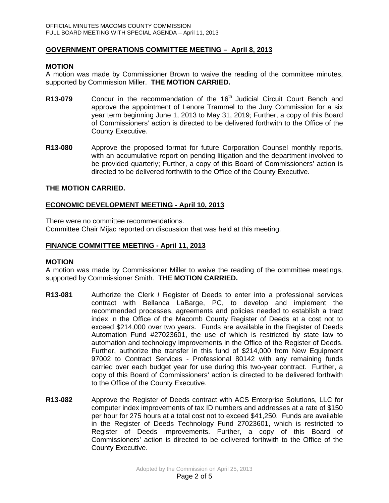### **GOVERNMENT OPERATIONS COMMITTEE MEETING – April 8, 2013**

#### **MOTION**

A motion was made by Commissioner Brown to waive the reading of the committee minutes, supported by Commission Miller. **THE MOTION CARRIED.**

- **R13-079** Concur in the recommendation of the 16<sup>th</sup> Judicial Circuit Court Bench and approve the appointment of Lenore Trammel to the Jury Commission for a six year term beginning June 1, 2013 to May 31, 2019; Further, a copy of this Board of Commissioners' action is directed to be delivered forthwith to the Office of the County Executive.
- **R13-080** Approve the proposed format for future Corporation Counsel monthly reports, with an accumulative report on pending litigation and the department involved to be provided quarterly; Further, a copy of this Board of Commissioners' action is directed to be delivered forthwith to the Office of the County Executive.

### **THE MOTION CARRIED.**

### **ECONOMIC DEVELOPMENT MEETING - April 10, 2013**

There were no committee recommendations. Committee Chair Mijac reported on discussion that was held at this meeting.

### **FINANCE COMMITTEE MEETING - April 11, 2013**

#### **MOTION**

A motion was made by Commissioner Miller to waive the reading of the committee meetings, supported by Commissioner Smith. **THE MOTION CARRIED.**

- **R13-081** Authorize the Clerk *I* Register of Deeds to enter into a professional services contract with Bellanca LaBarge, PC, to develop and implement the recommended processes, agreements and policies needed to establish a tract index in the Office of the Macomb County Register of Deeds at a cost not to exceed \$214,000 over two years. Funds are available in the Register of Deeds Automation Fund #27023601, the use of which is restricted by state law to automation and technology improvements in the Office of the Register of Deeds. Further, authorize the transfer in this fund of \$214,000 from New Equipment 97002 to Contract Services - Professional 80142 with any remaining funds carried over each budget year for use during this two-year contract. Further, a copy of this Board of Commissioners' action is directed to be delivered forthwith to the Office of the County Executive.
- **R13-082** Approve the Register of Deeds contract with ACS Enterprise Solutions, LLC for computer index improvements of tax ID numbers and addresses at a rate of \$150 per hour for 275 hours at a total cost not to exceed \$41,250. Funds are available in the Register of Deeds Technology Fund 27023601, which is restricted to Register of Deeds improvements. Further, a copy of this Board of Commissioners' action is directed to be delivered forthwith to the Office of the County Executive.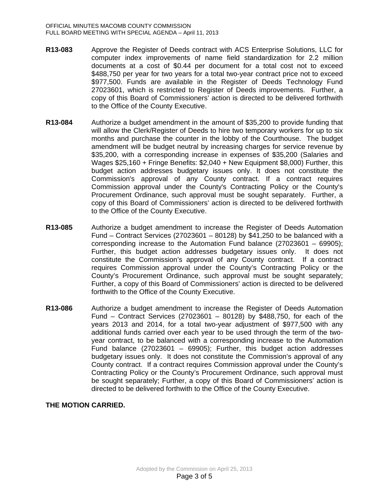- **R13-083** Approve the Register of Deeds contract with ACS Enterprise Solutions, LLC for computer index improvements of name field standardization for 2.2 million documents at a cost of \$0.44 per document for a total cost not to exceed \$488,750 per year for two years for a total two-year contract price not to exceed \$977,500. Funds are available in the Register of Deeds Technology Fund 27023601, which is restricted to Register of Deeds improvements. Further, a copy of this Board of Commissioners' action is directed to be delivered forthwith to the Office of the County Executive.
- **R13-084** Authorize a budget amendment in the amount of \$35,200 to provide funding that will allow the Clerk/Register of Deeds to hire two temporary workers for up to six months and purchase the counter in the lobby of the Courthouse. The budget amendment will be budget neutral by increasing charges for service revenue by \$35,200, with a corresponding increase in expenses of \$35,200 (Salaries and Wages \$25,160 + Fringe Benefits: \$2,040 + New Equipment \$8,000) Further, this budget action addresses budgetary issues only. It does not constitute the Commission's approval of any County contract. If a contract requires Commission approval under the County's Contracting Policy or the County's Procurement Ordinance, such approval must be sought separately. Further, a copy of this Board of Commissioners' action is directed to be delivered forthwith to the Office of the County Executive.
- **R13-085** Authorize a budget amendment to increase the Register of Deeds Automation Fund – Contract Services (27023601 – 80128) by \$41,250 to be balanced with a corresponding increase to the Automation Fund balance (27023601 – 69905); Further, this budget action addresses budgetary issues only. It does not constitute the Commission's approval of any County contract. If a contract requires Commission approval under the County's Contracting Policy or the County's Procurement Ordinance, such approval must be sought separately; Further, a copy of this Board of Commissioners' action is directed to be delivered forthwith to the Office of the County Executive.
- **R13-086** Authorize a budget amendment to increase the Register of Deeds Automation Fund – Contract Services (27023601 – 80128) by \$488,750, for each of the years 2013 and 2014, for a total two-year adjustment of \$977,500 with any additional funds carried over each year to be used through the term of the twoyear contract, to be balanced with a corresponding increase to the Automation Fund balance (27023601 – 69905); Further, this budget action addresses budgetary issues only. It does not constitute the Commission's approval of any County contract. If a contract requires Commission approval under the County's Contracting Policy or the County's Procurement Ordinance, such approval must be sought separately; Further, a copy of this Board of Commissioners' action is directed to be delivered forthwith to the Office of the County Executive.

# **THE MOTION CARRIED.**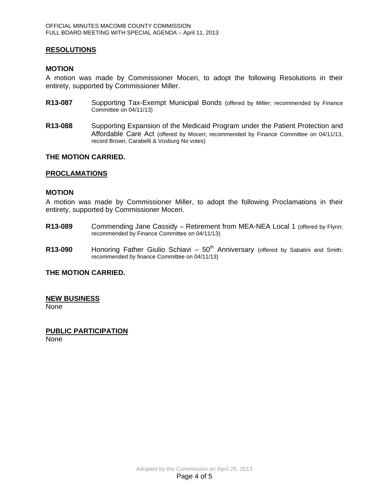#### **RESOLUTIONS**

#### **MOTION**

A motion was made by Commissioner Moceri, to adopt the following Resolutions in their entirety, supported by Commissioner Miller.

- **R13-087** Supporting Tax-Exempt Municipal Bonds (offered by Miller; recommended by Finance Committee on 04/11/13)
- **R13-088** Supporting Expansion of the Medicaid Program under the Patient Protection and Affordable Care Act (offered by Moceri; recommended by Finance Committee on 04/11/13, record Brown, Carabelli & Vosburg No votes)

### **THE MOTION CARRIED.**

#### **PROCLAMATIONS**

#### **MOTION**

A motion was made by Commissioner Miller, to adopt the following Proclamations in their entirety, supported by Commissioner Moceri.

- **R13-089** Commending Jane Cassidy Retirement from MEA-NEA Local 1 (offered by Flynn; recommended by Finance Committee on 04/11/13)
- **R13-090** Honoring Father Giulio Schiavi 50<sup>th</sup> Anniversary (offered by Sabatini and Smith; recommended by finance Committee on 04/11/13)

**THE MOTION CARRIED.** 

#### **NEW BUSINESS**

None

# **PUBLIC PARTICIPATION**

None